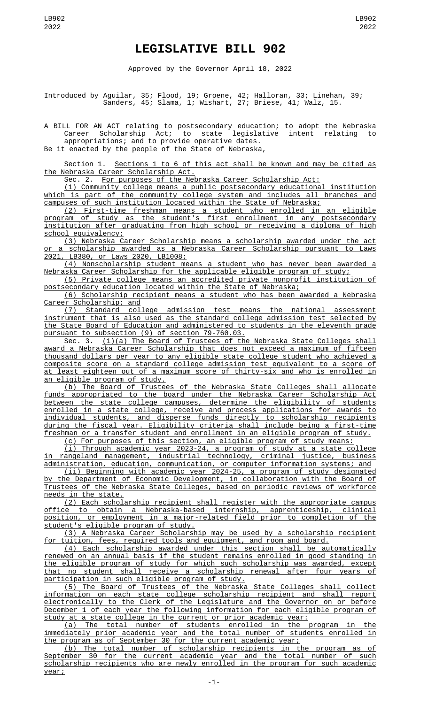## **LEGISLATIVE BILL 902**

Approved by the Governor April 18, 2022

Introduced by Aguilar, 35; Flood, 19; Groene, 42; Halloran, 33; Linehan, 39; Sanders, 45; Slama, 1; Wishart, 27; Briese, 41; Walz, 15.

A BILL FOR AN ACT relating to postsecondary education; to adopt the Nebraska Career Scholarship Act; to state legislative intent relating to appropriations; and to provide operative dates.

Be it enacted by the people of the State of Nebraska,

Section 1. Sections 1 to 6 of this act shall be known and may be cited as the Nebraska Career Scholarship Act.

Sec. 2. For purposes of the Nebraska Career Scholarship Act:

(1) Community college means a public postsecondary educational institution which is part of the community college system and includes all branches and campuses of such institution located within the State of Nebraska;

(2) First-time freshman means a student who enrolled in an eligible program of study as the student's first enrollment in any postsecondary institution after graduating from high school or receiving a diploma of high school equivalency;

(3) Nebraska Career Scholarship means a scholarship awarded under the act or a scholarship awarded as a Nebraska Career Scholarship pursuant to Laws 2021, LB380, or Laws 2020, LB1008;

(4) Nonscholarship student means a student who has never been awarded a Nebraska Career Scholarship for the applicable eligible program of study;

(5) Private college means an accredited private nonprofit institution of postsecondary education located within the State of Nebraska;

(6) Scholarship recipient means a student who has been awarded a Nebraska Career Scholarship; and

(7) Standard college admission test means the national assessment instrument that is also used as the standard college admission test selected by the State Board of Education and administered to students in the eleventh grade pursuant to subsection (9) of section 79-760.03.

Sec. 3. <u>(1)(a) The Board of Trustees of the Nebraska State Colleges shall</u> award a Nebraska Career Scholarship that does not exceed a maximum of fifteen thousand dollars per year to any eligible state college student who achieved a composite score on a standard college admission test equivalent to a score of at least eighteen out of a maximum score of thirty-six and who is enrolled in an eligible program of study.

(b) The Board of Trustees of the Nebraska State Colleges shall allocate funds appropriated to the board under the Nebraska Career Scholarship Act between the state college campuses, determine the eligibility of students enrolled in a state college, receive and process applications for awards to individual students, and disperse funds directly to scholarship recipients during the fiscal year. Eligibility criteria shall include being a first-time freshman or a transfer student and enrollment in an eligible program of study.

(c) For purposes of this section, an eligible program of study means:

(i) Through academic year 2023-24, a program of study at a state college in rangeland management, industrial technology, criminal justice, business administration, education, communication, or computer information systems; and

(ii) Beginning with academic year 2024-25, a program of study designated by the Department of Economic Development, in collaboration with the Board of Trustees of the Nebraska State Colleges, based on periodic reviews of workforce needs in the state.

(2) Each scholarship recipient shall register with the appropriate campus office to obtain a Nebraska-based internship, apprenticeship, clinical position, or employment in a major-related field prior to completion of the student's eligible program of study.

(3) A Nebraska Career Scholarship may be used by a scholarship recipient for tuition, fees, required tools and equipment, and room and board.

(4) Each scholarship awarded under this section shall be automatically renewed on an annual basis if the student remains enrolled in good standing in the eligible program of study for which such scholarship was awarded, except that no student shall receive a scholarship renewal after four years of participation in such eligible program of study.

(5) The Board of Trustees of the Nebraska State Colleges shall collect information on each state college scholarship recipient and shall report electronically to the Clerk of the Legislature and the Governor on or before December 1 of each year the following information for each eligible program of study at a state college in the current or prior academic year:

(a) The total number of students enrolled in the program in the immediately prior academic year and the total number of students enrolled in the program as of September 30 for the current academic year;

(b) The total number of scholarship recipients in the program as of September 30 for the current academic year and the total number of such scholarship recipients who are newly enrolled in the program for such academic year;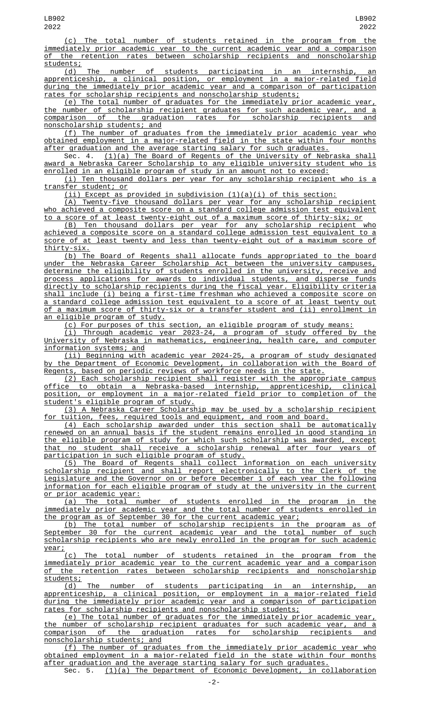(c) The total number of students retained in the program from the immediately prior academic year to the current academic year and a comparison of the retention rates between scholarship recipients and nonscholarship students;

(d) The number of students participating in an internship, an apprenticeship, a clinical position, or employment in a major-related field during the immediately prior academic year and a comparison of participation rates for scholarship recipients and nonscholarship students;

(e) The total number of graduates for the immediately prior academic year, the number of scholarship recipient graduates for such academic year, and a comparison of the graduation rates for scholarship recipients and nonscholarship students; and

(f) The number of graduates from the immediately prior academic year who obtained employment in a major-related field in the state within four months after graduation and the average starting salary for such graduates.

Sec. 4. (1)(a) The Board of Regents of the University of Nebraska shall award a Nebraska Career Scholarship to any eligible university student who is enrolled in an eligible program of study in an amount not to exceed:

(i) Ten thousand dollars per year for any scholarship recipient who is a transfer student; or

(ii) Except as provided in subdivision (1)(a)(i) of this section:

(A) Twenty-five thousand dollars per year for any scholarship recipient who achieved a composite score on a standard college admission test equivalent to a score of at least twenty-eight out of a maximum score of thirty-six; or

(B) Ten thousand dollars per year for any scholarship recipient who achieved a composite score on a standard college admission test equivalent to a score of at least twenty and less than twenty-eight out of a maximum score of thirty-six.

(b) The Board of Regents shall allocate funds appropriated to the board under the Nebraska Career Scholarship Act between the university campuses, determine the eligibility of students enrolled in the university, receive and process applications for awards to individual students, and disperse funds directly to scholarship recipients during the fiscal year. Eligibility criteria shall include (i) being a first-time freshman who achieved a composite score on a standard college admission test equivalent to a score of at least twenty out of a maximum score of thirty-six or a transfer student and (ii) enrollment in an eligible program of study.

(c) For purposes of this section, an eligible program of study means:

(i) Through academic year 2023-24, a program of study offered by the University of Nebraska in mathematics, engineering, health care, and computer information systems; and

(ii) Beginning with academic year 2024-25, a program of study designated by the Department of Economic Development, in collaboration with the Board of Regents, based on periodic reviews of workforce needs in the state.

(2) Each scholarship recipient shall register with the appropriate campus office to obtain a Nebraska-based internship, apprenticeship, clinical position, or employment in a major-related field prior to completion of the student's eligible program of study.

(3) A Nebraska Career Scholarship may be used by a scholarship recipient for tuition, fees, required tools and equipment, and room and board.

(4) Each scholarship awarded under this section shall be automatically renewed on an annual basis if the student remains enrolled in good standing in the eligible program of study for which such scholarship was awarded, except that no student shall receive a scholarship renewal after four years of participation in such eligible program of study.

(5) The Board of Regents shall collect information on each university scholarship recipient and shall report electronically to the Clerk of the Legislature and the Governor on or before December 1 of each year the following information for each eligible program of study at the university in the current or prior academic year:

(a) The total number of students enrolled in the program in the immediately prior academic year and the total number of students enrolled in the program as of September 30 for the current academic year;

(b) The total number of scholarship recipients in the program as of September 30 for the current academic year and the total number of such scholarship recipients who are newly enrolled in the program for such academic year;

(c) The total number of students retained in the program from the immediately prior academic year to the current academic year and a comparison of the retention rates between scholarship recipients and nonscholarship students;

(d) The number of students participating in an internship, an apprenticeship, a clinical position, or employment in a major-related field during the immediately prior academic year and a comparison of participation rates for scholarship recipients and nonscholarship students;

(e) The total number of graduates for the immediately prior academic year, the number of scholarship recipient graduates for such academic year, and a comparison of the graduation rates for scholarship recipients and nonscholarship students; and

(f) The number of graduates from the immediately prior academic year who obtained employment in a major-related field in the state within four months after graduation and the average starting salary for such graduates.<br>Sec. 5. (1)(a) The Department of Economic Development, in co

(1)(a) The Department of Economic Development, in collaboration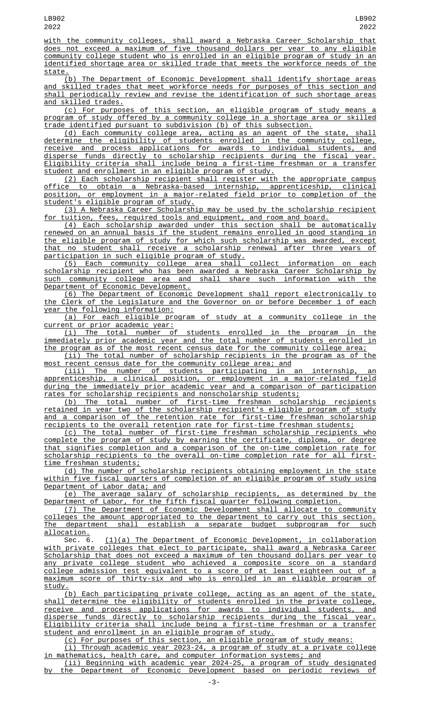with the community colleges, shall award a Nebraska Career Scholarship that does not exceed a maximum of five thousand dollars per year to any eligible community college student who is enrolled in an eligible program of study in an identified shortage area or skilled trade that meets the workforce needs of the state.

(b) The Department of Economic Development shall identify shortage areas and skilled trades that meet workforce needs for purposes of this section and shall periodically review and revise the identification of such shortage areas and skilled trades.

(c) For purposes of this section, an eligible program of study means a program of study offered by a community college in a shortage area or skilled trade identified pursuant to subdivision (b) of this subsection.

(d) Each community college area, acting as an agent of the state, shall determine the eligibility of students enrolled in the community college, receive and process applications for awards to individual students, and disperse funds directly to scholarship recipients during the fiscal year. Eligibility criteria shall include being a first-time freshman or a transfer student and enrollment in an eligible program of study.

(2) Each scholarship recipient shall register with the appropriate campus office to obtain a Nebraska-based internship, apprenticeship, clinical <u>position, or employment in a major-related field prior to completion of</u> student's eligible program of study.

(3) A Nebraska Career Scholarship may be used by the scholarship recipient for tuition, fees, required tools and equipment, and room and board.

(4) Each scholarship awarded under this section shall be automatically renewed on an annual basis if the student remains enrolled in good standing in the eligible program of study for which such scholarship was awarded, except that no student shall receive a scholarship renewal after three years of participation in such eligible program of study.

(5) Each community college area shall collect information on each scholarship recipient who has been awarded a Nebraska Career Scholarship by such community college area and shall share such information with the Department of Economic Development.

(6) The Department of Economic Development shall report electronically to the Clerk of the Legislature and the Governor on or before December 1 of each year the following information:

(a) For each eligible program of study at a community college in the current or prior academic year:

(i) The total number of students enrolled in the program in the immediately prior academic year and the total number of students enrolled in the program as of the most recent census date for the community college area;

(ii) The total number of scholarship recipients in the program as of the most recent census date for the community college area; and

(iii) The number of students participating in an internship, an apprenticeship, a clinical position, or employment in a major-related field during the immediately prior academic year and a comparison of participation rates for scholarship recipients and nonscholarship students;

(b) The total number of first-time freshman scholarship recipients retained in year two of the scholarship recipient's eligible program of study and a comparison of the retention rate for first-time freshman scholarship recipients to the overall retention rate for first-time freshman students;

(c) The total number of first-time freshman scholarship recipients who complete the program of study by earning the certificate, diploma, or degree that signifies completion and a comparison of the on-time completion rate for scholarship recipients to the overall on-time completion rate for all firsttime freshman students;

(d) The number of scholarship recipients obtaining employment in the state within five fiscal quarters of completion of an eligible program of study using Department of Labor data; and

(e) The average salary of scholarship recipients, as determined by the Department of Labor, for the fifth fiscal quarter following completion.

(7) The Department of Economic Development shall allocate to community <u>colleges the amount appropriated to the department to carry out this section.</u><br>The department shall establish a separate budget subprogram for such shall establish a separate budget subprogram for such allocation.

Sec. 6. (1)(a) The Department of Economic Development, in collaboration with private colleges that elect to participate, shall award a Nebraska Career Scholarship that does not exceed a maximum of ten thousand dollars per year to any private college student who achieved a composite score on a standard college admission test equivalent to a score of at least eighteen out of a maximum score of thirty-six and who is enrolled in an eligible program of study.

(b) Each participating private college, acting as an agent of the state, shall determine the eligibility of students enrolled in the private college, receive and process applications for awards to individual students, and disperse funds directly to scholarship recipients during the fiscal year. Eligibility criteria shall include being a first-time freshman or a transfer student and enrollment in an eligible program of study.

(c) For purposes of this section, an eligible program of study means:

(i) Through academic year 2023-24, a program of study at a private college in mathematics, health care, and computer information systems; and

(ii) Beginning with academic year 2024-25, a program of study designated by the Department of Economic Development based on periodic reviews of